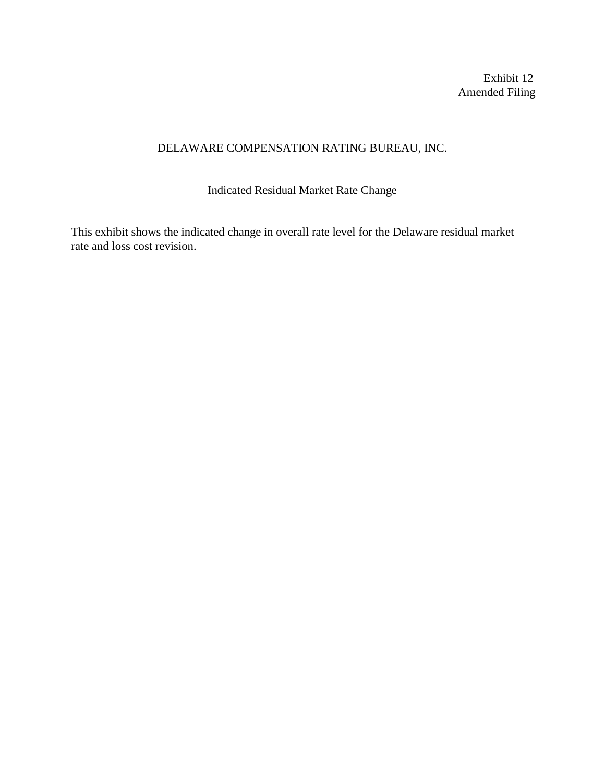Exhibit 12 Amended Filing

## DELAWARE COMPENSATION RATING BUREAU, INC.

## Indicated Residual Market Rate Change

This exhibit shows the indicated change in overall rate level for the Delaware residual market rate and loss cost revision.